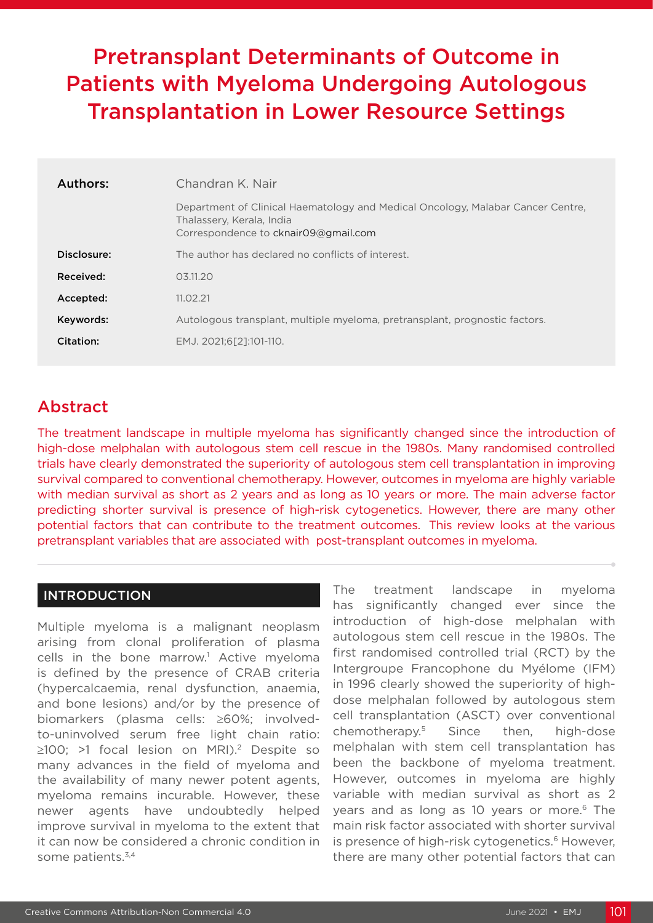# Pretransplant Determinants of Outcome in Patients with Myeloma Undergoing Autologous Transplantation in Lower Resource Settings

| Authors:    | Chandran K. Nair                                                                                                                                     |  |  |  |
|-------------|------------------------------------------------------------------------------------------------------------------------------------------------------|--|--|--|
|             | Department of Clinical Haematology and Medical Oncology, Malabar Cancer Centre,<br>Thalassery, Kerala, India<br>Correspondence to cknair09@gmail.com |  |  |  |
| Disclosure: | The author has declared no conflicts of interest.                                                                                                    |  |  |  |
| Received:   | 0.3.11.20                                                                                                                                            |  |  |  |
| Accepted:   | 11.02.21                                                                                                                                             |  |  |  |
| Keywords:   | Autologous transplant, multiple myeloma, pretransplant, prognostic factors.                                                                          |  |  |  |
| Citation:   | EMJ. 2021;6[2]:101-110.                                                                                                                              |  |  |  |

## Abstract

The treatment landscape in multiple myeloma has significantly changed since the introduction of high-dose melphalan with autologous stem cell rescue in the 1980s. Many randomised controlled trials have clearly demonstrated the superiority of autologous stem cell transplantation in improving survival compared to conventional chemotherapy. However, outcomes in myeloma are highly variable with median survival as short as 2 years and as long as 10 years or more. The main adverse factor predicting shorter survival is presence of high-risk cytogenetics. However, there are many other potential factors that can contribute to the treatment outcomes. This review looks at the various pretransplant variables that are associated with post-transplant outcomes in myeloma.

### INTRODUCTION

Multiple myeloma is a malignant neoplasm arising from clonal proliferation of plasma cells in the bone marrow.<sup>1</sup> Active myeloma is defined by the presence of CRAB criteria (hypercalcaemia, renal dysfunction, anaemia, and bone lesions) and/or by the presence of biomarkers (plasma cells: ≥60%; involvedto-uninvolved serum free light chain ratio: ≥100; >1 focal lesion on MRI).2 Despite so many advances in the field of myeloma and the availability of many newer potent agents, myeloma remains incurable. However, these newer agents have undoubtedly helped improve survival in myeloma to the extent that it can now be considered a chronic condition in some patients.<sup>3,4</sup>

The treatment landscape in myeloma has significantly changed ever since the introduction of high-dose melphalan with autologous stem cell rescue in the 1980s. The first randomised controlled trial (RCT) by the Intergroupe Francophone du Myélome (IFM) in 1996 clearly showed the superiority of highdose melphalan followed by autologous stem cell transplantation (ASCT) over conventional chemotherapy.5 Since then, high-dose melphalan with stem cell transplantation has been the backbone of myeloma treatment. However, outcomes in myeloma are highly variable with median survival as short as 2 years and as long as 10 years or more.<sup>6</sup> The main risk factor associated with shorter survival is presence of high-risk cytogenetics.<sup>6</sup> However, there are many other potential factors that can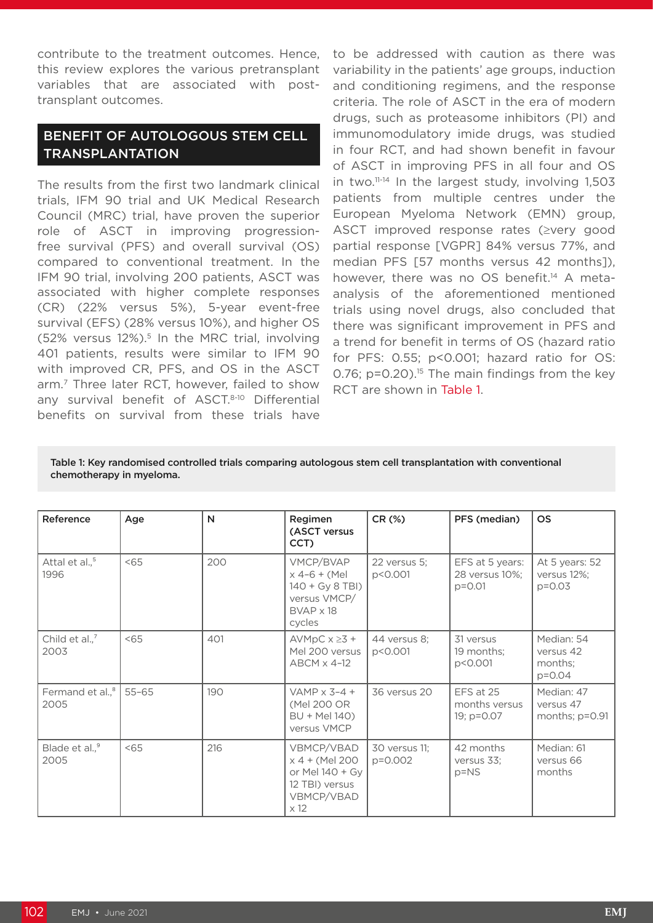contribute to the treatment outcomes. Hence, this review explores the various pretransplant variables that are associated with posttransplant outcomes.

## BENEFIT OF AUTOLOGOUS STEM CELL TRANSPLANTATION

The results from the first two landmark clinical trials, IFM 90 trial and UK Medical Research Council (MRC) trial, have proven the superior role of ASCT in improving progressionfree survival (PFS) and overall survival (OS) compared to conventional treatment. In the IFM 90 trial, involving 200 patients, ASCT was associated with higher complete responses (CR) (22% versus 5%), 5-year event-free survival (EFS) (28% versus 10%), and higher OS  $(52\%$  versus 12%).<sup>5</sup> In the MRC trial, involving 401 patients, results were similar to IFM 90 with improved CR, PFS, and OS in the ASCT arm.7 Three later RCT, however, failed to show any survival benefit of ASCT.<sup>8-10</sup> Differential benefits on survival from these trials have

to be addressed with caution as there was variability in the patients' age groups, induction and conditioning regimens, and the response criteria. The role of ASCT in the era of modern drugs, such as proteasome inhibitors (PI) and immunomodulatory imide drugs, was studied in four RCT, and had shown benefit in favour of ASCT in improving PFS in all four and OS in two.11-14 In the largest study, involving 1,503 patients from multiple centres under the European Myeloma Network (EMN) group, ASCT improved response rates (≥very good partial response [VGPR] 84% versus 77%, and median PFS [57 months versus 42 months]), however, there was no OS benefit.<sup>14</sup> A metaanalysis of the aforementioned mentioned trials using novel drugs, also concluded that there was significant improvement in PFS and a trend for benefit in terms of OS (hazard ratio for PFS: 0.55; p<0.001; hazard ratio for OS: 0.76; p=0.20).<sup>15</sup> The main findings from the key RCT are shown in Table 1.

#### Table 1: Key randomised controlled trials comparing autologous stem cell transplantation with conventional chemotherapy in myeloma.

| Reference                          | Age       | N   | Regimen<br>(ASCT versus<br>CCT)                                                                | CR (%)                   | PFS (median)                                    | <b>OS</b>                                        |
|------------------------------------|-----------|-----|------------------------------------------------------------------------------------------------|--------------------------|-------------------------------------------------|--------------------------------------------------|
| Attal et al., <sup>5</sup><br>1996 | < 65      | 200 | VMCP/BVAP<br>$x$ 4-6 + (Mel<br>140 + Gy 8 TBI)<br>versus VMCP/<br>$BVAP \times 18$<br>cycles   | 22 versus 5:<br>p<0.001  | EFS at 5 years:<br>28 versus 10%;<br>$p = 0.01$ | At 5 years: 52<br>versus 12%;<br>$p = 0.03$      |
| Child et al., <sup>7</sup><br>2003 | < 65      | 401 | AVMpC $x \ge 3 +$<br>Mel 200 versus<br>ABCM x 4-12                                             | 44 versus 8;<br>p<0.001  | 31 versus<br>19 months;<br>p<0.001              | Median: 54<br>versus 42<br>months:<br>$p = 0.04$ |
| Fermand et al., $8 \mid$<br>2005   | $55 - 65$ | 190 | VAMP $\times$ 3-4 +<br>(Mel 200 OR<br>BU + Mel 140)<br>versus VMCP                             | 36 versus 20             | EFS at 25<br>months versus<br>19; p=0.07        | Median: 47<br>versus 47<br>months; $p=0.91$      |
| Blade et al., <sup>9</sup><br>2005 | 55        | 216 | VBMCP/VBAD<br>x 4 + (Mel 200<br>or Mel 140 + Gy<br>12 TBI) versus<br>VBMCP/VBAD<br>$\times$ 12 | 30 versus 11;<br>p=0.002 | 42 months<br>versus 33;<br>$p = NS$             | Median: 61<br>versus 66<br>months                |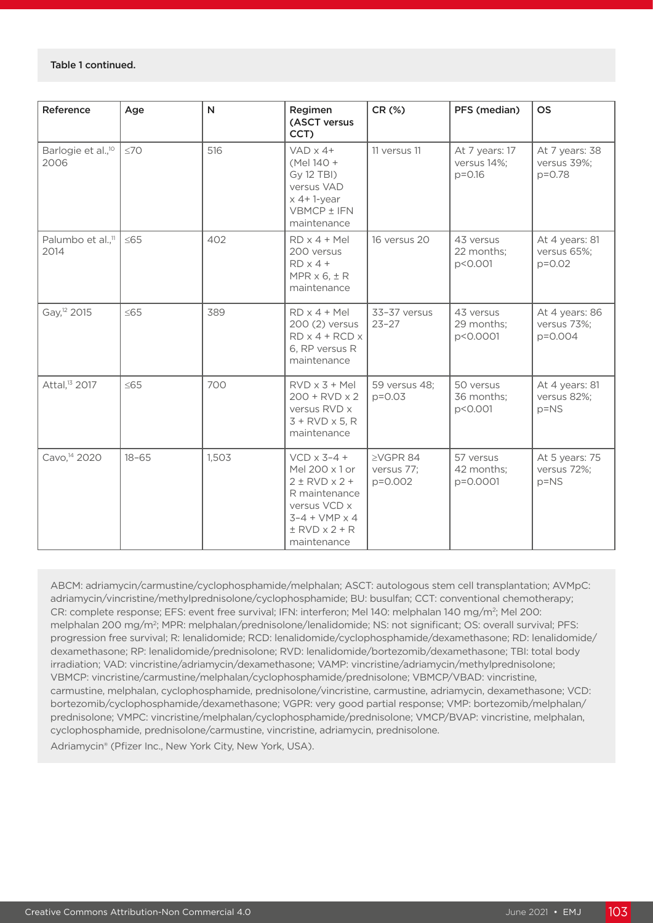#### Table 1 continued.

| Reference                              | Age       | $\mathsf{N}$ | Regimen<br>(ASCT versus<br>CCT)                                                                                                                                      | CR (%)                                  | PFS (median)                                | <b>OS</b>                                   |
|----------------------------------------|-----------|--------------|----------------------------------------------------------------------------------------------------------------------------------------------------------------------|-----------------------------------------|---------------------------------------------|---------------------------------------------|
| Barlogie et al., <sup>10</sup><br>2006 | $\leq 70$ | 516          | $VAD \times 4+$<br>(Mel 140 +<br>Gy 12 TBI)<br>versus VAD<br>$x$ 4+1-year<br>VBMCP ± IFN<br>maintenance                                                              | 11 versus 11                            | At 7 years: 17<br>versus 14%;<br>$p = 0.16$ | At 7 years: 38<br>versus 39%;<br>p=0.78     |
| Palumbo et al., <sup>11</sup><br>2014  | $\leq 65$ | 402          | $RD \times 4 + Mel$<br>200 versus<br>$RD \times 4 +$<br>MPR $\times$ 6, $\pm$ R<br>maintenance                                                                       | 16 versus 20                            | 43 versus<br>22 months;<br>p<0.001          | At 4 years: 81<br>versus 65%;<br>$p = 0.02$ |
| Gay, <sup>12</sup> 2015                | $\leq 65$ | 389          | $RD \times 4 + Mel$<br>200 (2) versus<br>$RD \times 4 + RCD \times$<br>6, RP versus R<br>maintenance                                                                 | 33-37 versus<br>$23 - 27$               | 43 versus<br>29 months;<br>p<0.0001         | At 4 years: 86<br>versus 73%;<br>p=0.004    |
| Attal, <sup>13</sup> 2017              | $\leq$ 65 | 700          | $RVD \times 3 + Mel$<br>$200 + RVD \times 2$<br>versus RVD x<br>$3 + RVD \times 5$ , R<br>maintenance                                                                | 59 versus 48;<br>$p = 0.03$             | 50 versus<br>36 months;<br>p<0.001          | At 4 years: 81<br>versus 82%;<br>$p = NS$   |
| Cavo, <sup>14</sup> 2020               | $18 - 65$ | 1,503        | $VCD \times 3-4 +$<br>Mel 200 x 1 or<br>$2 \pm RVD \times 2 +$<br>R maintenance<br>versus VCD x<br>$3 - 4 + VMP \times 4$<br>$\pm$ RVD $\times$ 2 + R<br>maintenance | $\geq$ VGPR 84<br>versus 77;<br>p=0.002 | 57 versus<br>42 months;<br>p=0.0001         | At 5 years: 75<br>versus 72%;<br>$p = NS$   |

ABCM: adriamycin/carmustine/cyclophosphamide/melphalan; ASCT: autologous stem cell transplantation; AVMpC: adriamycin/vincristine/methylprednisolone/cyclophosphamide; BU: busulfan; CCT: conventional chemotherapy; CR: complete response; EFS: event free survival; IFN: interferon; Mel 140: melphalan 140 mg/m<sup>2</sup>; Mel 200: melphalan 200 mg/m2; MPR: melphalan/prednisolone/lenalidomide; NS: not significant; OS: overall survival; PFS: progression free survival; R: lenalidomide; RCD: lenalidomide/cyclophosphamide/dexamethasone; RD: lenalidomide/ dexamethasone; RP: lenalidomide/prednisolone; RVD: lenalidomide/bortezomib/dexamethasone; TBI: total body irradiation; VAD: vincristine/adriamycin/dexamethasone; VAMP: vincristine/adriamycin/methylprednisolone; VBMCP: vincristine/carmustine/melphalan/cyclophosphamide/prednisolone; VBMCP/VBAD: vincristine, carmustine, melphalan, cyclophosphamide, prednisolone/vincristine, carmustine, adriamycin, dexamethasone; VCD: bortezomib/cyclophosphamide/dexamethasone; VGPR: very good partial response; VMP: bortezomib/melphalan/ prednisolone; VMPC: vincristine/melphalan/cyclophosphamide/prednisolone; VMCP/BVAP: vincristine, melphalan, cyclophosphamide, prednisolone/carmustine, vincristine, adriamycin, prednisolone.

Adriamycin® (Pfizer Inc., New York City, New York, USA).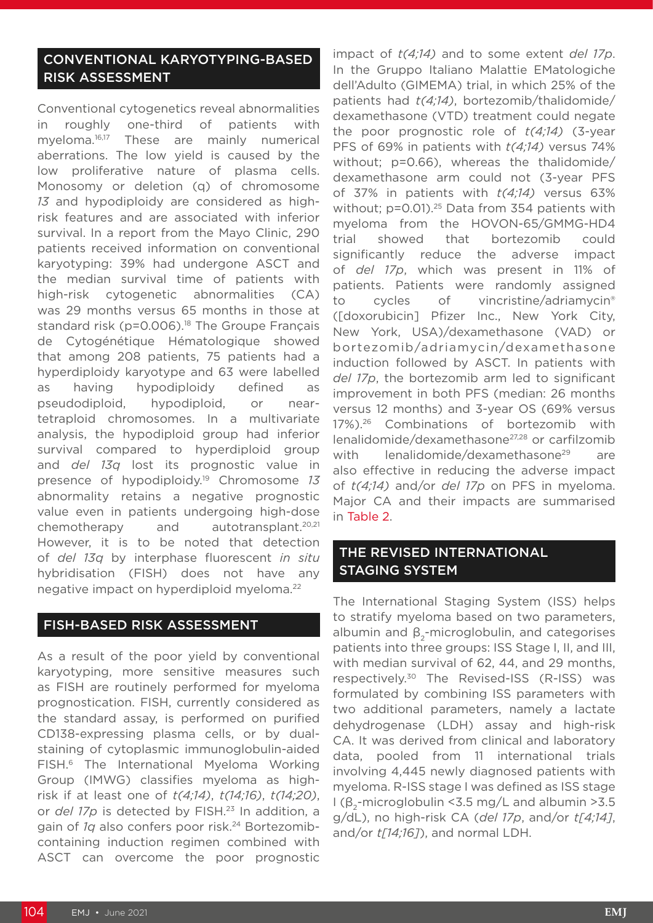## CONVENTIONAL KARYOTYPING-BASED RISK ASSESSMENT

Conventional cytogenetics reveal abnormalities in roughly one-third of patients with myeloma.16,17 These are mainly numerical aberrations. The low yield is caused by the low proliferative nature of plasma cells. Monosomy or deletion (q) of chromosome *13* and hypodiploidy are considered as highrisk features and are associated with inferior survival. In a report from the Mayo Clinic, 290 patients received information on conventional karyotyping: 39% had undergone ASCT and the median survival time of patients with high-risk cytogenetic abnormalities (CA) was 29 months versus 65 months in those at standard risk ( $p=0.006$ ).<sup>18</sup> The Groupe Français de Cytogénétique Hématologique showed that among 208 patients, 75 patients had a hyperdiploidy karyotype and 63 were labelled as having hypodiploidy defined as pseudodiploid, hypodiploid, or neartetraploid chromosomes. In a multivariate analysis, the hypodiploid group had inferior survival compared to hyperdiploid group and *del 13q* lost its prognostic value in presence of hypodiploidy.19 Chromosome *13* abnormality retains a negative prognostic value even in patients undergoing high-dose chemotherapy and autotransplant.20,21 However, it is to be noted that detection of *del 13q* by interphase fluorescent *in situ* hybridisation (FISH) does not have any negative impact on hyperdiploid myeloma.22

#### FISH-BASED RISK ASSESSMENT

As a result of the poor yield by conventional karyotyping, more sensitive measures such as FISH are routinely performed for myeloma prognostication. FISH, currently considered as the standard assay, is performed on purified CD138-expressing plasma cells, or by dualstaining of cytoplasmic immunoglobulin-aided FISH.6 The International Myeloma Working Group (IMWG) classifies myeloma as highrisk if at least one of *t(4;14)*, *t(14;16)*, *t(14;20)*, or *del 17p* is detected by FISH.23 In addition, a gain of *1q* also confers poor risk.24 Bortezomibcontaining induction regimen combined with ASCT can overcome the poor prognostic

impact of *t(4;14)* and to some extent *del 17p*. In the Gruppo Italiano Malattie EMatologiche dell'Adulto (GIMEMA) trial, in which 25% of the patients had *t(4;14)*, bortezomib/thalidomide/ dexamethasone (VTD) treatment could negate the poor prognostic role of *t(4;14)* (3-year PFS of 69% in patients with *t(4;14)* versus 74% without; p=0.66), whereas the thalidomide/ dexamethasone arm could not (3-year PFS of 37% in patients with *t(4;14)* versus 63% without; p=0.01).<sup>25</sup> Data from 354 patients with myeloma from the HOVON-65/GMMG-HD4 trial showed that bortezomib could significantly reduce the adverse impact of *del 17p*, which was present in 11% of patients. Patients were randomly assigned to cycles of vincristine/adriamycin® ([doxorubicin] Pfizer Inc., New York City, New York, USA)/dexamethasone (VAD) or bortezomib/adriamycin/dexamethasone induction followed by ASCT. In patients with *del 17p*, the bortezomib arm led to significant improvement in both PFS (median: 26 months versus 12 months) and 3-year OS (69% versus 17%).26 Combinations of bortezomib with lenalidomide/dexamethasone27,28 or carfilzomib with lenalidomide/dexamethasone<sup>29</sup> are also effective in reducing the adverse impact of *t(4;14)* and/or *del 17p* on PFS in myeloma. Major CA and their impacts are summarised in Table 2.

### THE REVISED INTERNATIONAL STAGING SYSTEM

The International Staging System (ISS) helps to stratify myeloma based on two parameters, albumin and  $\beta$ <sub>2</sub>-microglobulin, and categorises patients into three groups: ISS Stage I, II, and III, with median survival of 62, 44, and 29 months, respectively.30 The Revised-ISS (R-ISS) was formulated by combining ISS parameters with two additional parameters, namely a lactate dehydrogenase (LDH) assay and high-risk CA. It was derived from clinical and laboratory data, pooled from 11 international trials involving 4,445 newly diagnosed patients with myeloma. R-ISS stage I was defined as ISS stage I ( $β_0$ -microglobulin < 3.5 mg/L and albumin > 3.5 g/dL), no high-risk CA (*del 17p*, and/or *t[4;14]*, and/or *t[14;16]*), and normal LDH.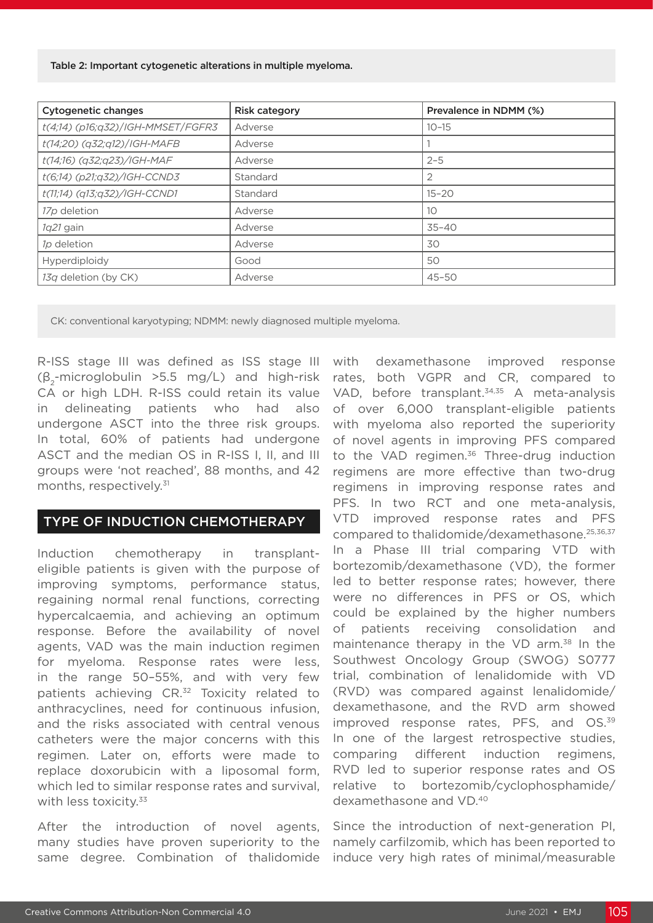Table 2: Important cytogenetic alterations in multiple myeloma.

| <b>Cytogenetic changes</b>        | <b>Risk category</b> | Prevalence in NDMM (%) |
|-----------------------------------|----------------------|------------------------|
| t(4;14) (p16;q32)/IGH-MMSET/FGFR3 | Adverse              | $10 - 15$              |
| t(14;20) (q32;q12)/IGH-MAFB       | Adverse              |                        |
| t(14;16) (q32;q23)/IGH-MAF        | Adverse              | $2 - 5$                |
| t(6;14) (p21;q32)/IGH-CCND3       | Standard             | 2                      |
| t(11;14) (q13;q32)/IGH-CCND1      | Standard             | $15 - 20$              |
| 17p deletion                      | Adverse              | 10                     |
| 1q21 gain                         | Adverse              | $35 - 40$              |
| 1p deletion                       | Adverse              | 30                     |
| Hyperdiploidy                     | Good                 | 50                     |
| 13q deletion (by CK)              | Adverse              | $45 - 50$              |

CK: conventional karyotyping; NDMM: newly diagnosed multiple myeloma.

R-ISS stage III was defined as ISS stage III  $(\beta_{2}$ -microglobulin >5.5 mg/L) and high-risk CA or high LDH. R-ISS could retain its value in delineating patients who had also undergone ASCT into the three risk groups. In total, 60% of patients had undergone ASCT and the median OS in R-ISS I, II, and III groups were 'not reached', 88 months, and 42 months, respectively.31

#### TYPE OF INDUCTION CHEMOTHERAPY

Induction chemotherapy in transplanteligible patients is given with the purpose of improving symptoms, performance status, regaining normal renal functions, correcting hypercalcaemia, and achieving an optimum response. Before the availability of novel agents, VAD was the main induction regimen for myeloma. Response rates were less, in the range 50–55%, and with very few patients achieving CR.<sup>32</sup> Toxicity related to anthracyclines, need for continuous infusion, and the risks associated with central venous catheters were the major concerns with this regimen. Later on, efforts were made to replace doxorubicin with a liposomal form, which led to similar response rates and survival, with less toxicity.<sup>33</sup>

After the introduction of novel agents, many studies have proven superiority to the same degree. Combination of thalidomide

with dexamethasone improved response rates, both VGPR and CR, compared to VAD, before transplant.34,35 A meta-analysis of over 6,000 transplant-eligible patients with myeloma also reported the superiority of novel agents in improving PFS compared to the VAD regimen.<sup>36</sup> Three-drug induction regimens are more effective than two-drug regimens in improving response rates and PFS. In two RCT and one meta-analysis, VTD improved response rates and PFS compared to thalidomide/dexamethasone.25,36,37 In a Phase III trial comparing VTD with bortezomib/dexamethasone (VD), the former led to better response rates; however, there were no differences in PFS or OS, which could be explained by the higher numbers of patients receiving consolidation and maintenance therapy in the VD arm.<sup>38</sup> In the Southwest Oncology Group (SWOG) S0777 trial, combination of lenalidomide with VD (RVD) was compared against lenalidomide/ dexamethasone, and the RVD arm showed improved response rates, PFS, and OS.<sup>39</sup> In one of the largest retrospective studies, comparing different induction regimens, RVD led to superior response rates and OS relative to bortezomib/cyclophosphamide/ dexamethasone and VD.40

Since the introduction of next-generation PI, namely carfilzomib, which has been reported to induce very high rates of minimal/measurable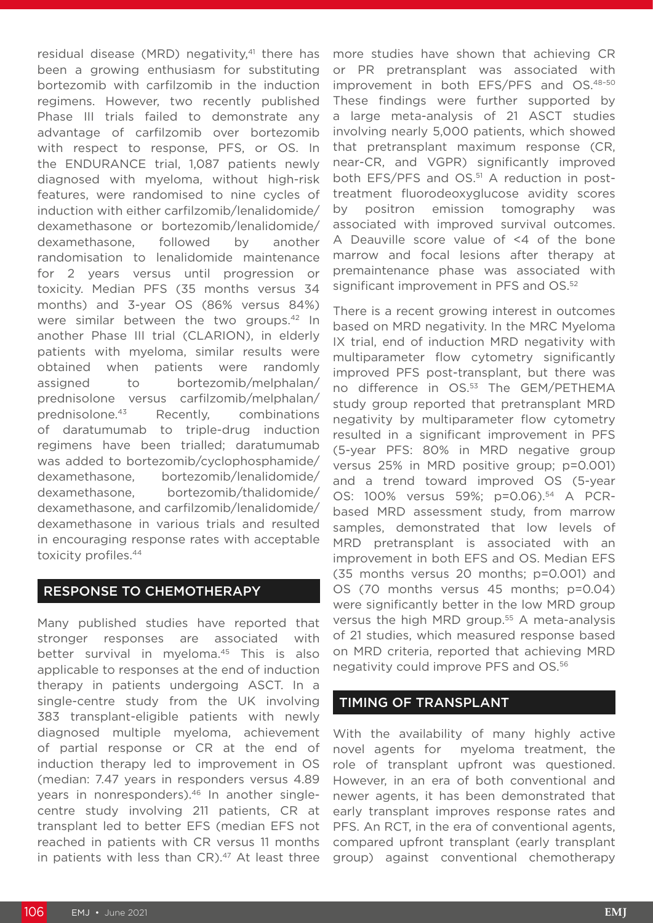residual disease (MRD) negativity,<sup>41</sup> there has been a growing enthusiasm for substituting bortezomib with carfilzomib in the induction regimens. However, two recently published Phase III trials failed to demonstrate any advantage of carfilzomib over bortezomib with respect to response, PFS, or OS. In the ENDURANCE trial, 1,087 patients newly diagnosed with myeloma, without high-risk features, were randomised to nine cycles of induction with either carfilzomib/lenalidomide/ dexamethasone or bortezomib/lenalidomide/ dexamethasone, followed by another randomisation to lenalidomide maintenance for 2 years versus until progression or toxicity. Median PFS (35 months versus 34 months) and 3-year OS (86% versus 84%) were similar between the two groups.<sup>42</sup> In another Phase III trial (CLARION), in elderly patients with myeloma, similar results were obtained when patients were randomly assigned to bortezomib/melphalan/ prednisolone versus carfilzomib/melphalan/ prednisolone.43 Recently, combinations of daratumumab to triple-drug induction regimens have been trialled; daratumumab was added to bortezomib/cyclophosphamide/ dexamethasone, bortezomib/lenalidomide/ dexamethasone, bortezomib/thalidomide/ dexamethasone, and carfilzomib/lenalidomide/ dexamethasone in various trials and resulted in encouraging response rates with acceptable toxicity profiles.44

### RESPONSE TO CHEMOTHERAPY

Many published studies have reported that stronger responses are associated with better survival in myeloma.<sup>45</sup> This is also applicable to responses at the end of induction therapy in patients undergoing ASCT. In a single-centre study from the UK involving 383 transplant-eligible patients with newly diagnosed multiple myeloma, achievement of partial response or CR at the end of induction therapy led to improvement in OS (median: 7.47 years in responders versus 4.89 years in nonresponders).<sup>46</sup> In another singlecentre study involving 211 patients, CR at transplant led to better EFS (median EFS not reached in patients with CR versus 11 months in patients with less than  $CR$ ).<sup>47</sup> At least three

more studies have shown that achieving CR or PR pretransplant was associated with improvement in both EFS/PFS and OS.48–50 These findings were further supported by a large meta-analysis of 21 ASCT studies involving nearly 5,000 patients, which showed that pretransplant maximum response (CR, near-CR, and VGPR) significantly improved both EFS/PFS and OS.<sup>51</sup> A reduction in posttreatment fluorodeoxyglucose avidity scores by positron emission tomography was associated with improved survival outcomes. A Deauville score value of <4 of the bone marrow and focal lesions after therapy at premaintenance phase was associated with significant improvement in PFS and OS.<sup>52</sup>

There is a recent growing interest in outcomes based on MRD negativity. In the MRC Myeloma IX trial, end of induction MRD negativity with multiparameter flow cytometry significantly improved PFS post-transplant, but there was no difference in OS.53 The GEM/PETHEMA study group reported that pretransplant MRD negativity by multiparameter flow cytometry resulted in a significant improvement in PFS (5-year PFS: 80% in MRD negative group versus 25% in MRD positive group; p=0.001) and a trend toward improved OS (5-year OS: 100% versus 59%; p=0.06).54 A PCRbased MRD assessment study, from marrow samples, demonstrated that low levels of MRD pretransplant is associated with an improvement in both EFS and OS. Median EFS (35 months versus 20 months; p=0.001) and OS (70 months versus 45 months; p=0.04) were significantly better in the low MRD group versus the high MRD group.<sup>55</sup> A meta-analysis of 21 studies, which measured response based on MRD criteria, reported that achieving MRD negativity could improve PFS and OS.56

#### TIMING OF TRANSPLANT

With the availability of many highly active novel agents for myeloma treatment, the role of transplant upfront was questioned. However, in an era of both conventional and newer agents, it has been demonstrated that early transplant improves response rates and PFS. An RCT, in the era of conventional agents, compared upfront transplant (early transplant group) against conventional chemotherapy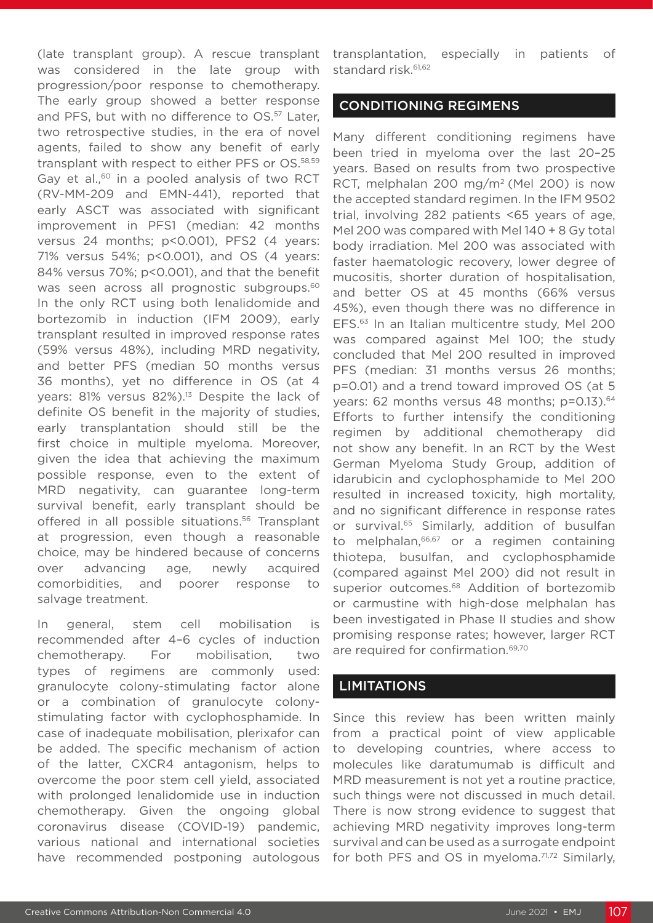(late transplant group). A rescue transplant was considered in the late group with progression/poor response to chemotherapy. The early group showed a better response and PFS, but with no difference to OS.<sup>57</sup> Later. two retrospective studies, in the era of novel agents, failed to show any benefit of early transplant with respect to either PFS or OS.58,59 Gay et al.,<sup>60</sup> in a pooled analysis of two RCT (RV-MM-209 and EMN-441), reported that early ASCT was associated with significant improvement in PFS1 (median: 42 months versus 24 months; p<0.001), PFS2 (4 years: 71% versus 54%; p<0.001), and OS (4 years: 84% versus 70%; p<0.001), and that the benefit was seen across all prognostic subgroups.<sup>60</sup> In the only RCT using both lenalidomide and bortezomib in induction (IFM 2009), early transplant resulted in improved response rates (59% versus 48%), including MRD negativity, and better PFS (median 50 months versus 36 months), yet no difference in OS (at 4 years: 81% versus 82%).<sup>13</sup> Despite the lack of definite OS benefit in the majority of studies, early transplantation should still be the first choice in multiple myeloma. Moreover, given the idea that achieving the maximum possible response, even to the extent of MRD negativity, can guarantee long-term survival benefit, early transplant should be offered in all possible situations.<sup>56</sup> Transplant at progression, even though a reasonable choice, may be hindered because of concerns over advancing age, newly acquired comorbidities, and poorer response to salvage treatment.

In general, stem cell mobilisation is recommended after 4–6 cycles of induction chemotherapy. For mobilisation, two types of regimens are commonly used: granulocyte colony-stimulating factor alone or a combination of granulocyte colonystimulating factor with cyclophosphamide. In case of inadequate mobilisation, plerixafor can be added. The specific mechanism of action of the latter, CXCR4 antagonism, helps to overcome the poor stem cell yield, associated with prolonged lenalidomide use in induction chemotherapy. Given the ongoing global coronavirus disease (COVID-19) pandemic, various national and international societies have recommended postponing autologous transplantation, especially in patients of standard risk.<sup>61,62</sup>

#### CONDITIONING REGIMENS

Many different conditioning regimens have been tried in myeloma over the last 20–25 years. Based on results from two prospective RCT, melphalan 200 mg/m2 (Mel 200) is now the accepted standard regimen. In the IFM 9502 trial, involving 282 patients <65 years of age, Mel 200 was compared with Mel 140 + 8 Gy total body irradiation. Mel 200 was associated with faster haematologic recovery, lower degree of mucositis, shorter duration of hospitalisation, and better OS at 45 months (66% versus 45%), even though there was no difference in EFS.63 In an Italian multicentre study, Mel 200 was compared against Mel 100; the study concluded that Mel 200 resulted in improved PFS (median: 31 months versus 26 months; p=0.01) and a trend toward improved OS (at 5 years: 62 months versus 48 months; p=0.13).<sup>64</sup> Efforts to further intensify the conditioning regimen by additional chemotherapy did not show any benefit. In an RCT by the West German Myeloma Study Group, addition of idarubicin and cyclophosphamide to Mel 200 resulted in increased toxicity, high mortality, and no significant difference in response rates or survival.<sup>65</sup> Similarly, addition of busulfan to melphalan,<sup>66,67</sup> or a regimen containing thiotepa, busulfan, and cyclophosphamide (compared against Mel 200) did not result in superior outcomes.<sup>68</sup> Addition of bortezomib or carmustine with high-dose melphalan has been investigated in Phase II studies and show promising response rates; however, larger RCT are required for confirmation.<sup>69,70</sup>

#### LIMITATIONS

Since this review has been written mainly from a practical point of view applicable to developing countries, where access to molecules like daratumumab is difficult and MRD measurement is not yet a routine practice, such things were not discussed in much detail. There is now strong evidence to suggest that achieving MRD negativity improves long-term survival and can be used as a surrogate endpoint for both PFS and OS in myeloma. $71,72$  Similarly,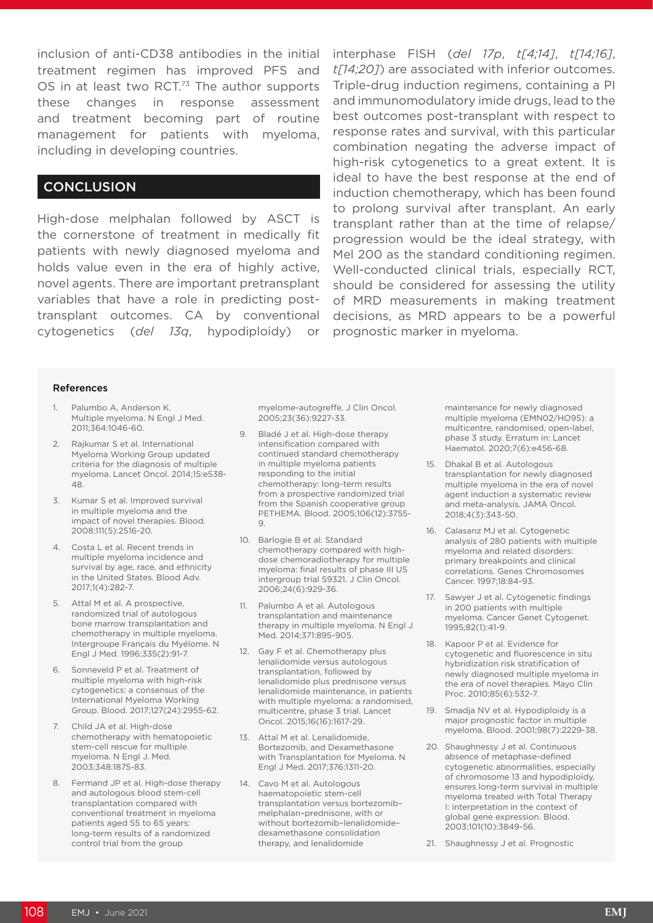inclusion of anti-CD38 antibodies in the initial interphase FISH (del 17p, t[4;14], t[14;16], treatment regimen has improved PFS and OS in at least two RCT.<sup>73</sup> The author supports these changes in response assessment and treatment becoming part of routine management for patients with myeloma, including in developing countries.

#### **CONCLUSION**

High-dose melphalan followed by ASCT is the cornerstone of treatment in medically fit patients with newly diagnosed myeloma and holds value even in the era of highly active, novel agents. There are important pretransplant variables that have a role in predicting posttransplant outcomes. CA by conventional cytogenetics (*del 13q*, hypodiploidy) or *t[14;20]*) are associated with inferior outcomes. Triple-drug induction regimens, containing a PI and immunomodulatory imide drugs, lead to the best outcomes post-transplant with respect to response rates and survival, with this particular combination negating the adverse impact of high-risk cytogenetics to a great extent. It is ideal to have the best response at the end of induction chemotherapy, which has been found to prolong survival after transplant. An early transplant rather than at the time of relapse/ progression would be the ideal strategy, with Mel 200 as the standard conditioning regimen. Well-conducted clinical trials, especially RCT, should be considered for assessing the utility of MRD measurements in making treatment decisions, as MRD appears to be a powerful prognostic marker in myeloma.

#### References

- 1. Palumbo A, Anderson K. Multiple myeloma. N Engl J Med. 2011;364:1046-60.
- 2. Rajkumar S et al. International Myeloma Working Group updated criteria for the diagnosis of multiple myeloma. Lancet Oncol. 2014;15:e538- 48.
- 3. Kumar S et al. Improved survival in multiple myeloma and the impact of novel therapies. Blood. 2008;111(5):2516-20.
- 4. Costa L et al. Recent trends in multiple myeloma incidence and survival by age, race, and ethnicity in the United States. Blood Adv. 2017;1(4):282-7.
- 5. Attal M et al. A prospective, randomized trial of autologous bone marrow transplantation and chemotherapy in multiple myeloma. Intergroupe Français du Myélome. N Engl J Med. 1996;335(2):91-7.
- 6. Sonneveld P et al. Treatment of multiple myeloma with high-risk cytogenetics: a consensus of the International Myeloma Working Group. Blood. 2017;127(24):2955-62.
- 7. Child JA et al. High-dose chemotherapy with hematopoietic stem-cell rescue for multiple myeloma. N Engl J. Med. 2003;348:1875-83.
- 8. Fermand JP et al. High-dose therapy and autologous blood stem-cell transplantation compared with conventional treatment in myeloma patients aged 55 to 65 years: long-term results of a randomized control trial from the group

myelome-autogreffe. J Clin Oncol. 2005;23(36):9227-33.

- 9. Bladé J et al. High-dose therapy intensification compared with continued standard chemotherapy in multiple myeloma patients responding to the initial chemotherapy: long-term results from a prospective randomized trial from the Spanish cooperative group PETHEMA. Blood. 2005;106(12):3755- 9.
- 10. Barlogie B et al. Standard chemotherapy compared with highdose chemoradiotherapy for multiple myeloma: final results of phase III US intergroup trial S9321. J Clin Oncol. 2006;24(6):929-36.
- 11. Palumbo A et al. Autologous transplantation and maintenance therapy in multiple myeloma. N Engl J Med. 2014;371:895-905.
- 12. Gay F et al. Chemotherapy plus lenalidomide versus autologous transplantation, followed by lenalidomide plus prednisone versus lenalidomide maintenance, in patients with multiple myeloma: a randomised, multicentre, phase 3 trial. Lancet Oncol. 2015;16(16):1617-29.
- 13. Attal M et al. Lenalidomide, Bortezomib, and Dexamethasone with Transplantation for Myeloma. N Engl J Med. 2017;376:1311-20.
- 14. Cavo M et al. Autologous haematopoietic stem-cell transplantation versus bortezomib– melphalan–prednisone, with or without bortezomib–lenalidomide– dexamethasone consolidation therapy, and lenalidomide

maintenance for newly diagnosed multiple myeloma (EMN02/HO95): a multicentre, randomised, open-label, phase 3 study. Erratum in: Lancet Haematol. 2020;7(6):e456-68.

- 15. Dhakal B et al. Autologous transplantation for newly diagnosed multiple myeloma in the era of novel agent induction a systematic review and meta-analysis. JAMA Oncol. 2018;4(3):343-50.
- 16. Calasanz MJ et al. Cytogenetic analysis of 280 patients with multiple myeloma and related disorders: primary breakpoints and clinical correlations. Genes Chromosomes Cancer. 1997;18:84-93.
- 17. Sawyer J et al. Cytogenetic findings in 200 patients with multiple myeloma. Cancer Genet Cytogenet. 1995;82(1):41-9.
- 18. Kapoor P et al. Evidence for cytogenetic and fluorescence in situ hybridization risk stratification of newly diagnosed multiple myeloma in the era of novel therapies. Mayo Clin Proc. 2010;85(6):532-7.
- 19. Smadja NV et al. Hypodiploidy is a major prognostic factor in multiple myeloma. Blood. 2001;98(7):2229-38.
- 20. Shaughnessy J et al. Continuous absence of metaphase-defined cytogenetic abnormalities, especially of chromosome 13 and hypodiploidy, ensures long-term survival in multiple myeloma treated with Total Therapy I: interpretation in the context of global gene expression. Blood. 2003;101(10):3849-56.
- 21. Shaughnessy J et al. Prognostic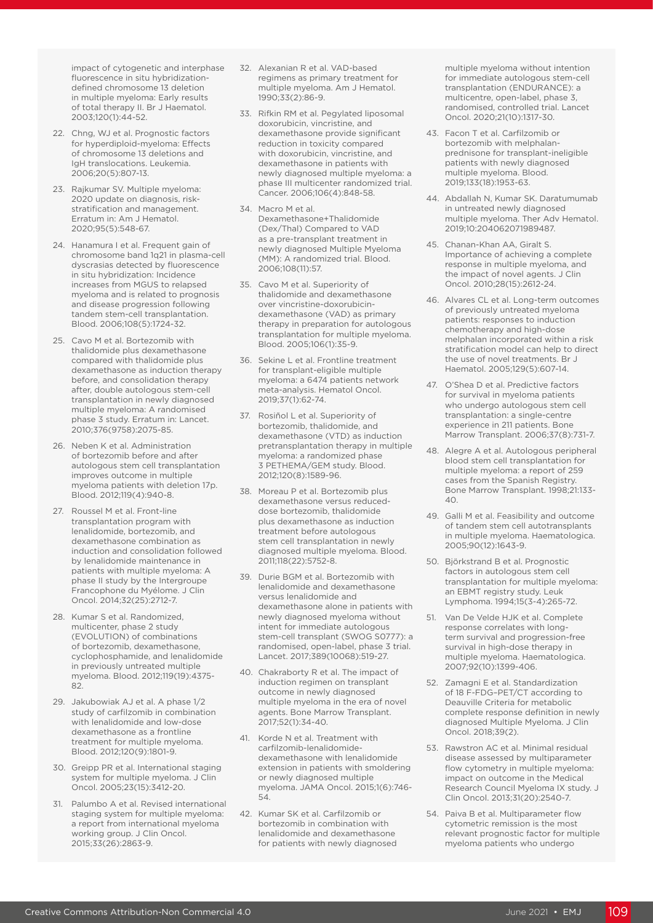impact of cytogenetic and interphase fluorescence in situ hybridizationdefined chromosome 13 deletion in multiple myeloma: Early results of total therapy II. Br J Haematol. 2003;120(1):44-52.

- 22. Chng, WJ et al. Prognostic factors for hyperdiploid-myeloma: Effects of chromosome 13 deletions and IgH translocations. Leukemia. 2006;20(5):807-13.
- 23. Rajkumar SV. Multiple myeloma: 2020 update on diagnosis, riskstratification and management. Erratum in: Am J Hematol. 2020;95(5):548-67.
- 24. Hanamura I et al. Frequent gain of chromosome band 1q21 in plasma-cell dyscrasias detected by fluorescence in situ hybridization: Incidence increases from MGUS to relapsed myeloma and is related to prognosis and disease progression following tandem stem-cell transplantation. Blood. 2006;108(5):1724-32.
- 25. Cavo M et al. Bortezomib with thalidomide plus dexamethasone compared with thalidomide plus dexamethasone as induction therapy before, and consolidation therapy after, double autologous stem-cell transplantation in newly diagnosed multiple myeloma: A randomised phase 3 study. Erratum in: Lancet. 2010;376(9758):2075-85.
- 26. Neben K et al. Administration of bortezomib before and after autologous stem cell transplantation improves outcome in multiple myeloma patients with deletion 17p. Blood. 2012;119(4):940-8.
- 27. Roussel M et al. Front-line transplantation program with lenalidomide, bortezomib, and dexamethasone combination as induction and consolidation followed by lenalidomide maintenance in patients with multiple myeloma: A phase II study by the Intergroupe Francophone du Myélome. J Clin Oncol. 2014;32(25):2712-7.
- 28. Kumar S et al. Randomized, multicenter, phase 2 study (EVOLUTION) of combinations of bortezomib, dexamethasone, cyclophosphamide, and lenalidomide in previously untreated multiple myeloma. Blood. 2012;119(19):4375- 82.
- 29. Jakubowiak AJ et al. A phase 1/2 study of carfilzomib in combination with lenalidomide and low-dose dexamethasone as a frontline treatment for multiple myeloma. Blood. 2012;120(9):1801-9.
- 30. Greipp PR et al. International staging system for multiple myeloma. J Clin Oncol. 2005;23(15):3412-20.
- 31. Palumbo A et al. Revised international staging system for multiple myeloma: a report from international myeloma working group. J Clin Oncol. 2015;33(26):2863-9.
- 32. Alexanian R et al. VAD-based regimens as primary treatment for multiple myeloma. Am J Hematol. 1990;33(2):86-9.
- 33. Rifkin RM et al. Pegylated liposomal doxorubicin, vincristine, and dexamethasone provide significant reduction in toxicity compared with doxorubicin, vincristine, and dexamethasone in patients with newly diagnosed multiple myeloma: a phase III multicenter randomized trial. Cancer. 2006;106(4):848-58.
- 34. Macro M et al. Dexamethasone+Thalidomide (Dex/Thal) Compared to VAD as a pre-transplant treatment in newly diagnosed Multiple Myeloma (MM): A randomized trial. Blood. 2006;108(11):57.
- 35. Cavo M et al. Superiority of thalidomide and dexamethasone over vincristine-doxorubicindexamethasone (VAD) as primary therapy in preparation for autologous transplantation for multiple myeloma. Blood. 2005;106(1):35-9.
- 36. Sekine L et al. Frontline treatment for transplant-eligible multiple myeloma: a 6474 patients network meta-analysis. Hematol Oncol. 2019;37(1):62-74.
- 37. Rosiñol L et al. Superiority of bortezomib, thalidomide, and dexamethasone (VTD) as induction pretransplantation therapy in multiple myeloma: a randomized phase 3 PETHEMA/GEM study. Blood. 2012;120(8):1589-96.
- 38. Moreau P et al. Bortezomib plus dexamethasone versus reduceddose bortezomib, thalidomide plus dexamethasone as induction treatment before autologous stem cell transplantation in newly diagnosed multiple myeloma. Blood. 2011;118(22):5752-8.
- 39. Durie BGM et al. Bortezomib with lenalidomide and dexamethasone versus lenalidomide and dexamethasone alone in patients with newly diagnosed myeloma without intent for immediate autologous stem-cell transplant (SWOG S0777): a randomised, open-label, phase 3 trial. Lancet. 2017;389(10068):519-27.
- 40. Chakraborty R et al. The impact of induction regimen on transplant outcome in newly diagnosed multiple myeloma in the era of novel agents. Bone Marrow Transplant. 2017;52(1):34-40.
- 41. Korde N et al. Treatment with carfilzomib-lenalidomidedexamethasone with lenalidomide extension in patients with smoldering or newly diagnosed multiple myeloma. JAMA Oncol. 2015;1(6):746- 54.
- 42. Kumar SK et al. Carfilzomib or bortezomib in combination with lenalidomide and dexamethasone for patients with newly diagnosed

multiple myeloma without intention for immediate autologous stem-cell transplantation (ENDURANCE): a multicentre, open-label, phase 3, randomised, controlled trial. Lancet Oncol. 2020;21(10):1317-30.

- 43. Facon T et al. Carfilzomib or bortezomib with melphalanprednisone for transplant-ineligible patients with newly diagnosed multiple myeloma. Blood. 2019;133(18):1953-63.
- 44. Abdallah N, Kumar SK. Daratumumab in untreated newly diagnosed multiple myeloma. Ther Adv Hematol. 2019;10:204062071989487.
- 45. Chanan-Khan AA, Giralt S. Importance of achieving a complete response in multiple myeloma, and the impact of novel agents. J Clin Oncol. 2010;28(15):2612-24.
- 46. Alvares CL et al. Long-term outcomes of previously untreated myeloma patients: responses to induction chemotherapy and high-dose melphalan incorporated within a risk stratification model can help to direct the use of novel treatments. Br J Haematol. 2005;129(5):607-14.
- 47. O'Shea D et al. Predictive factors for survival in myeloma patients who undergo autologous stem cell transplantation: a single-centre experience in 211 patients. Bone Marrow Transplant. 2006;37(8):731-7.
- 48. Alegre A et al. Autologous peripheral blood stem cell transplantation for multiple myeloma: a report of 259 cases from the Spanish Registry. Bone Marrow Transplant. 1998;21:133- 40.
- 49. Galli M et al. Feasibility and outcome of tandem stem cell autotransplants in multiple myeloma. Haematologica. 2005;90(12):1643-9.
- 50. Björkstrand B et al. Prognostic factors in autologous stem cell transplantation for multiple myeloma: an EBMT registry study. Leuk Lymphoma. 1994;15(3-4):265-72.
- 51. Van De Velde HJK et al. Complete response correlates with longterm survival and progression-free survival in high-dose therapy in multiple myeloma. Haematologica. 2007;92(10):1399-406.
- 52. Zamagni E et al. Standardization of 18 F-FDG–PET/CT according to Deauville Criteria for metabolic complete response definition in newly diagnosed Multiple Myeloma. J Clin Oncol. 2018;39(2).
- 53. Rawstron AC et al. Minimal residual disease assessed by multiparameter flow cytometry in multiple myeloma: impact on outcome in the Medical Research Council Myeloma IX study. J Clin Oncol. 2013;31(20):2540-7.
- 54. Paiva B et al. Multiparameter flow cytometric remission is the most relevant prognostic factor for multiple myeloma patients who undergo